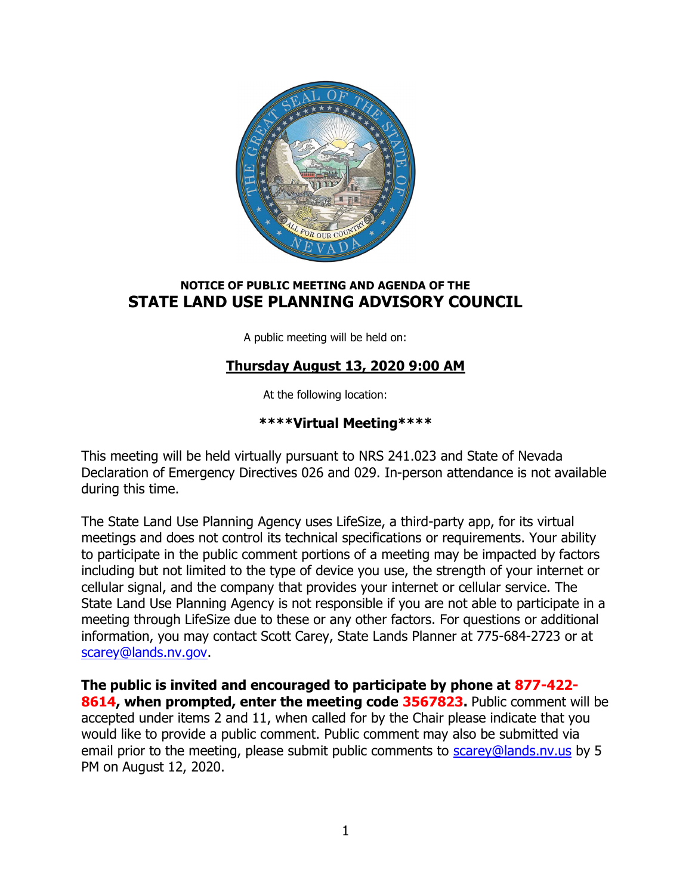

# NOTICE OF PUBLIC MEETING AND AGENDA OF THE STATE LAND USE PLANNING ADVISORY COUNCIL

A public meeting will be held on:

# Thursday August 13, 2020 9:00 AM

At the following location:

# \*\*\*\*Virtual Meeting\*\*\*\*

This meeting will be held virtually pursuant to NRS 241.023 and State of Nevada Declaration of Emergency Directives 026 and 029. In-person attendance is not available during this time.

The State Land Use Planning Agency uses LifeSize, a third-party app, for its virtual meetings and does not control its technical specifications or requirements. Your ability to participate in the public comment portions of a meeting may be impacted by factors including but not limited to the type of device you use, the strength of your internet or cellular signal, and the company that provides your internet or cellular service. The State Land Use Planning Agency is not responsible if you are not able to participate in a meeting through LifeSize due to these or any other factors. For questions or additional information, you may contact Scott Carey, State Lands Planner at 775-684-2723 or at scarey@lands.nv.gov.

The public is invited and encouraged to participate by phone at 877-422- 8614, when prompted, enter the meeting code 3567823. Public comment will be accepted under items 2 and 11, when called for by the Chair please indicate that you would like to provide a public comment. Public comment may also be submitted via email prior to the meeting, please submit public comments to scarey@lands.nv.us by 5 PM on August 12, 2020.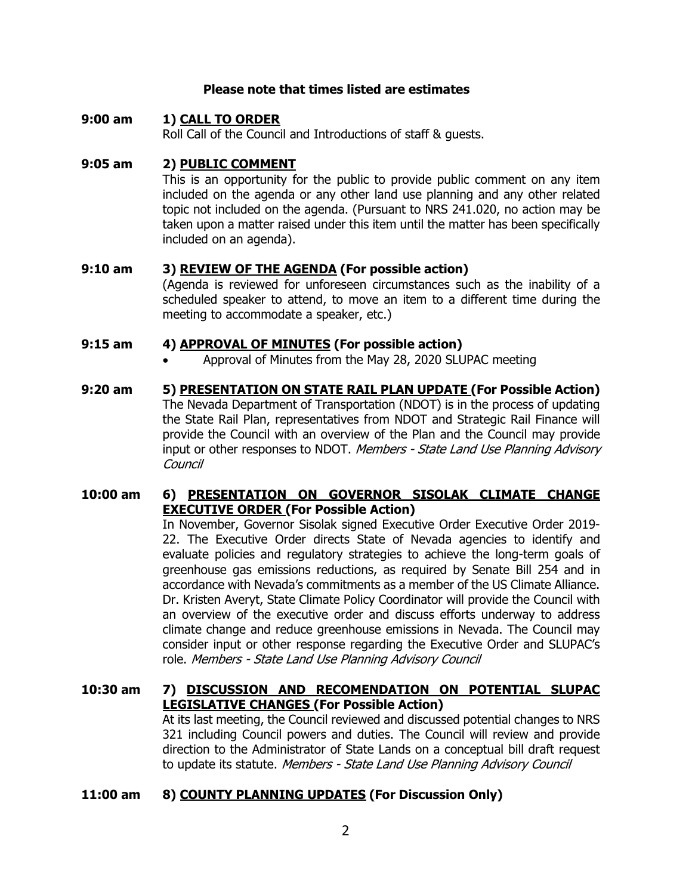#### Please note that times listed are estimates

### 9:00 am 1) CALL TO ORDER Roll Call of the Council and Introductions of staff & guests.

### 9:05 am 2) PUBLIC COMMENT

This is an opportunity for the public to provide public comment on any item included on the agenda or any other land use planning and any other related topic not included on the agenda. (Pursuant to NRS 241.020, no action may be taken upon a matter raised under this item until the matter has been specifically included on an agenda).

### 9:10 am 3) REVIEW OF THE AGENDA (For possible action)

(Agenda is reviewed for unforeseen circumstances such as the inability of a scheduled speaker to attend, to move an item to a different time during the meeting to accommodate a speaker, etc.)

### 9:15 am 4) APPROVAL OF MINUTES (For possible action)

Approval of Minutes from the May 28, 2020 SLUPAC meeting

#### 9:20 am 5) PRESENTATION ON STATE RAIL PLAN UPDATE (For Possible Action) The Nevada Department of Transportation (NDOT) is in the process of updating the State Rail Plan, representatives from NDOT and Strategic Rail Finance will provide the Council with an overview of the Plan and the Council may provide input or other responses to NDOT. Members - State Land Use Planning Advisory **Council**

## 10:00 am 6) PRESENTATION ON GOVERNOR SISOLAK CLIMATE CHANGE **EXECUTIVE ORDER (For Possible Action)**

In November, Governor Sisolak signed Executive Order Executive Order 2019- 22. The Executive Order directs State of Nevada agencies to identify and evaluate policies and regulatory strategies to achieve the long-term goals of greenhouse gas emissions reductions, as required by Senate Bill 254 and in accordance with Nevada's commitments as a member of the US Climate Alliance. Dr. Kristen Averyt, State Climate Policy Coordinator will provide the Council with an overview of the executive order and discuss efforts underway to address climate change and reduce greenhouse emissions in Nevada. The Council may consider input or other response regarding the Executive Order and SLUPAC's role. Members - State Land Use Planning Advisory Council

## 10:30 am 7) DISCUSSION AND RECOMENDATION ON POTENTIAL SLUPAC LEGISLATIVE CHANGES (For Possible Action)

At its last meeting, the Council reviewed and discussed potential changes to NRS 321 including Council powers and duties. The Council will review and provide direction to the Administrator of State Lands on a conceptual bill draft request to update its statute. Members - State Land Use Planning Advisory Council

## 11:00 am 8) COUNTY PLANNING UPDATES (For Discussion Only)